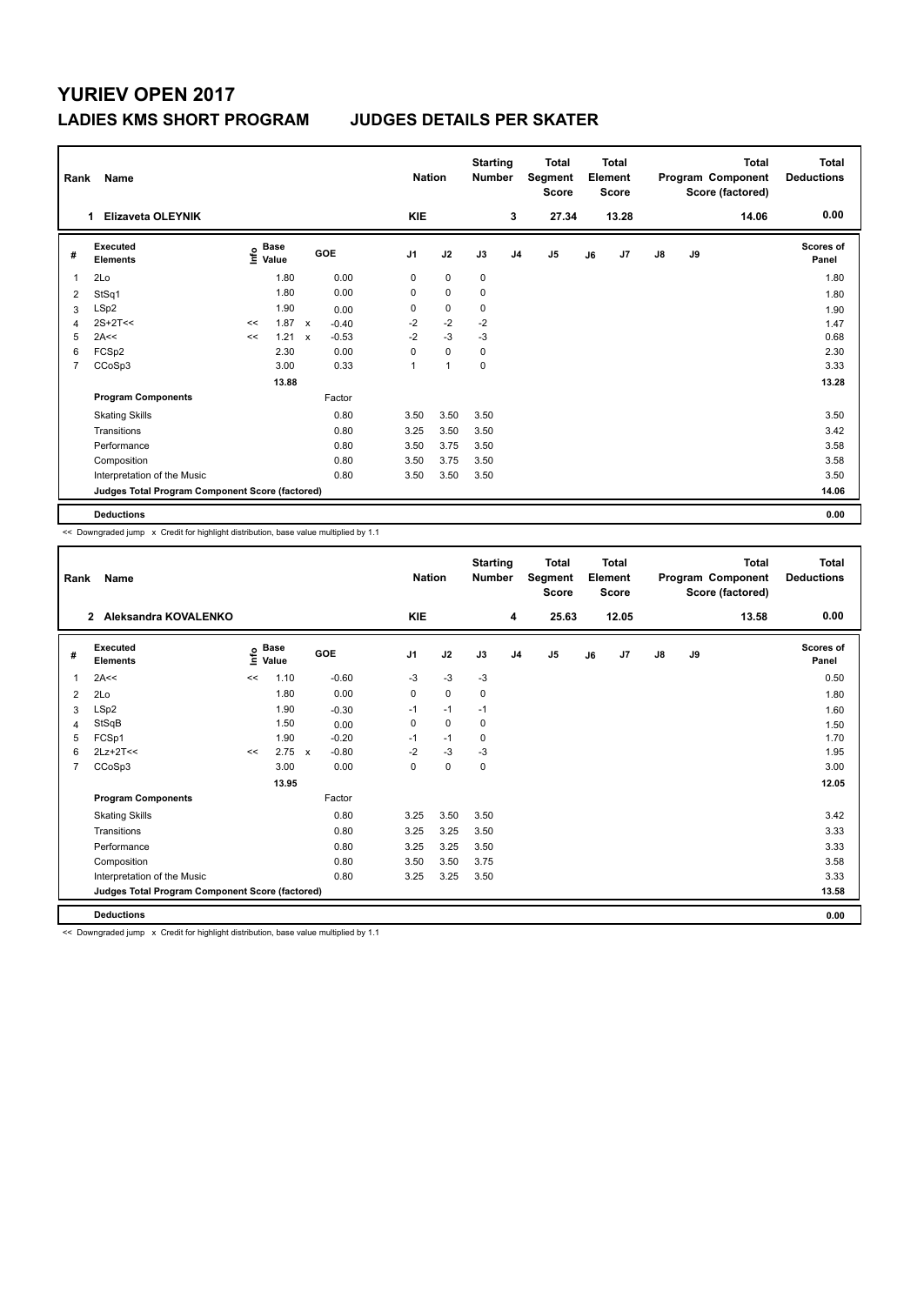## **YURIEV OPEN 2017 LADIES KMS SHORT PROGRAM JUDGES DETAILS PER SKATER**

| Rank<br>Name   |                                                 |    |                                  |                           |         |                | <b>Nation</b> |             | <b>Starting</b><br><b>Number</b> |                | <b>Total</b><br>Segment<br><b>Score</b> | Total<br>Element<br><b>Score</b> |       | <b>Total</b><br>Program Component<br>Score (factored) |    | <b>Total</b><br><b>Deductions</b> |                           |
|----------------|-------------------------------------------------|----|----------------------------------|---------------------------|---------|----------------|---------------|-------------|----------------------------------|----------------|-----------------------------------------|----------------------------------|-------|-------------------------------------------------------|----|-----------------------------------|---------------------------|
|                | <b>Elizaveta OLEYNIK</b><br>1                   |    |                                  |                           |         |                | KIE           |             |                                  | 3              | 27.34                                   |                                  | 13.28 |                                                       |    | 14.06                             | 0.00                      |
| #              | Executed<br><b>Elements</b>                     |    | <b>Base</b><br>e Base<br>⊆ Value |                           | GOE     | J <sub>1</sub> |               | J2          | J3                               | J <sub>4</sub> | J <sub>5</sub>                          | J6                               | J7    | $\mathsf{J}8$                                         | J9 |                                   | <b>Scores of</b><br>Panel |
| $\overline{1}$ | 2Lo                                             |    | 1.80                             |                           | 0.00    | 0              |               | $\mathbf 0$ | $\mathbf 0$                      |                |                                         |                                  |       |                                                       |    |                                   | 1.80                      |
| $\overline{2}$ | StSq1                                           |    | 1.80                             |                           | 0.00    | 0              |               | $\mathbf 0$ | 0                                |                |                                         |                                  |       |                                                       |    |                                   | 1.80                      |
| 3              | LSp2                                            |    | 1.90                             |                           | 0.00    | 0              |               | $\mathbf 0$ | 0                                |                |                                         |                                  |       |                                                       |    |                                   | 1.90                      |
| 4              | $2S+2T<<$                                       | << | $1.87 \times$                    |                           | $-0.40$ | $-2$           |               | $-2$        | $-2$                             |                |                                         |                                  |       |                                                       |    |                                   | 1.47                      |
| 5              | 2A<<                                            | << | 1.21                             | $\boldsymbol{\mathsf{x}}$ | $-0.53$ | $-2$           |               | $-3$        | $-3$                             |                |                                         |                                  |       |                                                       |    |                                   | 0.68                      |
| 6              | FCSp2                                           |    | 2.30                             |                           | 0.00    | $\Omega$       |               | $\mathbf 0$ | $\mathbf 0$                      |                |                                         |                                  |       |                                                       |    |                                   | 2.30                      |
| 7              | CCoSp3                                          |    | 3.00                             |                           | 0.33    | 1              |               | 1           | 0                                |                |                                         |                                  |       |                                                       |    |                                   | 3.33                      |
|                |                                                 |    | 13.88                            |                           |         |                |               |             |                                  |                |                                         |                                  |       |                                                       |    |                                   | 13.28                     |
|                | <b>Program Components</b>                       |    |                                  |                           | Factor  |                |               |             |                                  |                |                                         |                                  |       |                                                       |    |                                   |                           |
|                | <b>Skating Skills</b>                           |    |                                  |                           | 0.80    | 3.50           |               | 3.50        | 3.50                             |                |                                         |                                  |       |                                                       |    |                                   | 3.50                      |
|                | Transitions                                     |    |                                  |                           | 0.80    | 3.25           |               | 3.50        | 3.50                             |                |                                         |                                  |       |                                                       |    |                                   | 3.42                      |
|                | Performance                                     |    |                                  |                           | 0.80    | 3.50           |               | 3.75        | 3.50                             |                |                                         |                                  |       |                                                       |    |                                   | 3.58                      |
|                | Composition                                     |    |                                  |                           | 0.80    | 3.50           |               | 3.75        | 3.50                             |                |                                         |                                  |       |                                                       |    |                                   | 3.58                      |
|                | Interpretation of the Music                     |    |                                  |                           | 0.80    | 3.50           |               | 3.50        | 3.50                             |                |                                         |                                  |       |                                                       |    |                                   | 3.50                      |
|                | Judges Total Program Component Score (factored) |    |                                  |                           |         |                |               |             |                                  |                |                                         |                                  |       |                                                       |    |                                   | 14.06                     |
|                | <b>Deductions</b>                               |    |                                  |                           |         |                |               |             |                                  |                |                                         |                                  |       |                                                       |    |                                   | 0.00                      |

<< Downgraded jump x Credit for highlight distribution, base value multiplied by 1.1

| Rank           | <b>Name</b>                                     |                                  |       |              |         |                | <b>Nation</b> |             | <b>Starting</b><br><b>Number</b> | <b>Total</b><br>Segment<br><b>Score</b> | <b>Total</b><br>Element<br><b>Score</b> |       | Program Component<br>Score (factored) |    | <b>Total</b> | <b>Total</b><br><b>Deductions</b> |
|----------------|-------------------------------------------------|----------------------------------|-------|--------------|---------|----------------|---------------|-------------|----------------------------------|-----------------------------------------|-----------------------------------------|-------|---------------------------------------|----|--------------|-----------------------------------|
|                | Aleksandra KOVALENKO<br>$\overline{2}$          |                                  |       |              |         | <b>KIE</b>     |               |             | 4                                | 25.63                                   |                                         | 12.05 |                                       |    | 13.58        | 0.00                              |
| #              | Executed<br><b>Elements</b>                     | <b>Base</b><br>e Base<br>⊆ Value |       | <b>GOE</b>   |         | J <sub>1</sub> | J2            | J3          | J <sub>4</sub>                   | J <sub>5</sub>                          | J6                                      | J7    | $\mathsf{J}8$                         | J9 |              | <b>Scores of</b><br>Panel         |
| 1              | 2A<<                                            | <<                               | 1.10  |              | $-0.60$ | $-3$           | $-3$          | $-3$        |                                  |                                         |                                         |       |                                       |    |              | 0.50                              |
| 2              | 2Lo                                             |                                  | 1.80  |              | 0.00    | $\Omega$       | $\Omega$      | $\mathbf 0$ |                                  |                                         |                                         |       |                                       |    |              | 1.80                              |
| 3              | LSp2                                            |                                  | 1.90  |              | $-0.30$ | $-1$           | $-1$          | $-1$        |                                  |                                         |                                         |       |                                       |    |              | 1.60                              |
| 4              | StSqB                                           |                                  | 1.50  |              | 0.00    | 0              | $\mathbf 0$   | 0           |                                  |                                         |                                         |       |                                       |    |              | 1.50                              |
| 5              | FCSp1                                           |                                  | 1.90  |              | $-0.20$ | $-1$           | $-1$          | 0           |                                  |                                         |                                         |       |                                       |    |              | 1.70                              |
| 6              | $2Lz+2T<<$                                      | <<                               | 2.75  | $\mathbf{x}$ | $-0.80$ | $-2$           | $-3$          | $-3$        |                                  |                                         |                                         |       |                                       |    |              | 1.95                              |
| $\overline{7}$ | CCoSp3                                          |                                  | 3.00  |              | 0.00    | 0              | $\pmb{0}$     | 0           |                                  |                                         |                                         |       |                                       |    |              | 3.00                              |
|                |                                                 |                                  | 13.95 |              |         |                |               |             |                                  |                                         |                                         |       |                                       |    |              | 12.05                             |
|                | <b>Program Components</b>                       |                                  |       |              | Factor  |                |               |             |                                  |                                         |                                         |       |                                       |    |              |                                   |
|                | <b>Skating Skills</b>                           |                                  |       |              | 0.80    | 3.25           | 3.50          | 3.50        |                                  |                                         |                                         |       |                                       |    |              | 3.42                              |
|                | Transitions                                     |                                  |       |              | 0.80    | 3.25           | 3.25          | 3.50        |                                  |                                         |                                         |       |                                       |    |              | 3.33                              |
|                | Performance                                     |                                  |       |              | 0.80    | 3.25           | 3.25          | 3.50        |                                  |                                         |                                         |       |                                       |    |              | 3.33                              |
|                | Composition                                     |                                  |       |              | 0.80    | 3.50           | 3.50          | 3.75        |                                  |                                         |                                         |       |                                       |    |              | 3.58                              |
|                | Interpretation of the Music                     |                                  |       |              | 0.80    | 3.25           | 3.25          | 3.50        |                                  |                                         |                                         |       |                                       |    |              | 3.33                              |
|                | Judges Total Program Component Score (factored) |                                  |       |              |         |                |               |             |                                  |                                         |                                         |       |                                       |    |              | 13.58                             |
|                | <b>Deductions</b>                               |                                  |       |              |         |                |               |             |                                  |                                         |                                         |       |                                       |    |              | 0.00                              |

<< Downgraded jump x Credit for highlight distribution, base value multiplied by 1.1